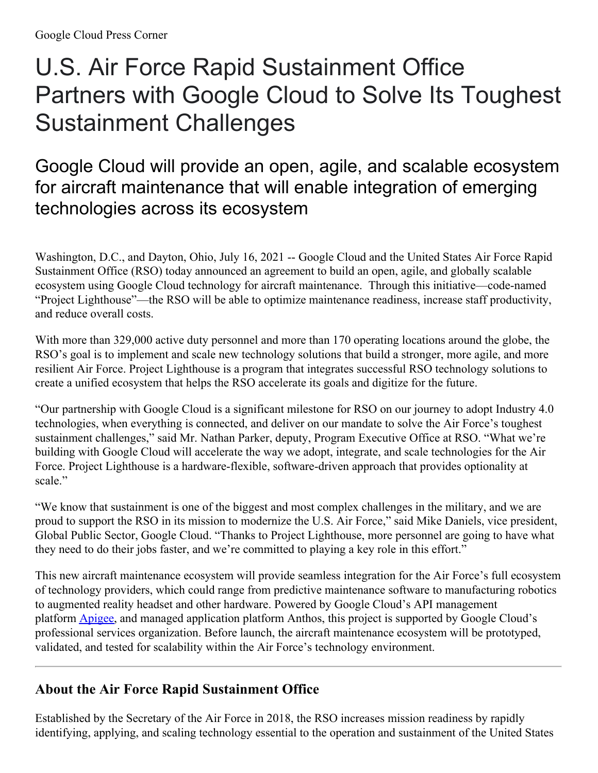## U.S. Air Force Rapid Sustainment Office Partners with Google Cloud to Solve Its Toughest Sustainment Challenges

## Google Cloud will provide an open, agile, and scalable ecosystem for aircraft maintenance that will enable integration of emerging technologies across its ecosystem

Washington, D.C., and Dayton, Ohio, July 16, 2021 -- Google Cloud and the United States Air Force Rapid Sustainment Office (RSO) today announced an agreement to build an open, agile, and globally scalable ecosystem using Google Cloud technology for aircraft maintenance. Through this initiative—code-named "Project Lighthouse"—the RSO will be able to optimize maintenance readiness, increase staff productivity, and reduce overall costs.

With more than 329,000 active duty personnel and more than 170 operating locations around the globe, the RSO's goal is to implement and scale new technology solutions that build a stronger, more agile, and more resilient Air Force. Project Lighthouse is a program that integrates successful RSO technology solutions to create a unified ecosystem that helps the RSO accelerate its goals and digitize for the future.

"Our partnership with Google Cloud is a significant milestone for RSO on our journey to adopt Industry 4.0 technologies, when everything is connected, and deliver on our mandate to solve the Air Force's toughest sustainment challenges," said Mr. Nathan Parker, deputy, Program Executive Office at RSO. "What we're building with Google Cloud will accelerate the way we adopt, integrate, and scale technologies for the Air Force. Project Lighthouse is a hardware-flexible, software-driven approach that provides optionality at scale."

"We know that sustainment is one of the biggest and most complex challenges in the military, and we are proud to support the RSO in its mission to modernize the U.S. Air Force," said Mike Daniels, vice president, Global Public Sector, Google Cloud. "Thanks to Project Lighthouse, more personnel are going to have what they need to do their jobs faster, and we're committed to playing a key role in this effort."

This new aircraft maintenance ecosystem will provide seamless integration for the Air Force's full ecosystem of technology providers, which could range from predictive maintenance software to manufacturing robotics to augmented reality headset and other hardware. Powered by Google Cloud's API management platform [Apigee](https://cloud.google.com/apigee), and managed application platform Anthos, this project is supported by Google Cloud's professional services organization. Before launch, the aircraft maintenance ecosystem will be prototyped, validated, and tested for scalability within the Air Force's technology environment.

## **About the Air Force Rapid Sustainment Office**

Established by the Secretary of the Air Force in 2018, the RSO increases mission readiness by rapidly identifying, applying, and scaling technology essential to the operation and sustainment of the United States